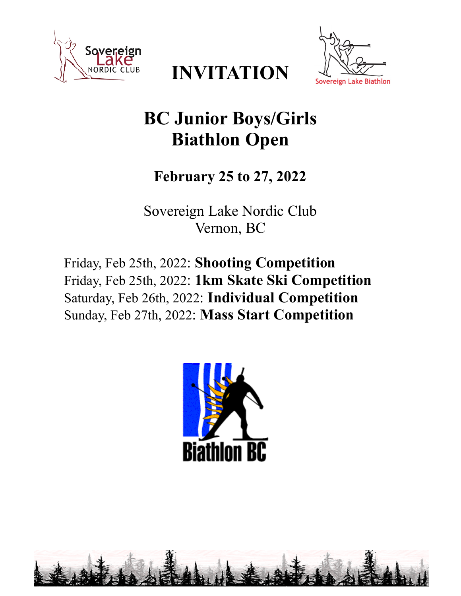





# **BC Junior Boys/Girls Biathlon Open**

# **February 25 to 27, 2022**

Sovereign Lake Nordic Club Vernon, BC

Friday, Feb 25th, 2022: **Shooting Competition** Friday, Feb 25th, 2022: **1km Skate Ski Competition** Saturday, Feb 26th, 2022: **Individual Competition** Sunday, Feb 27th, 2022: **Mass Start Competition**

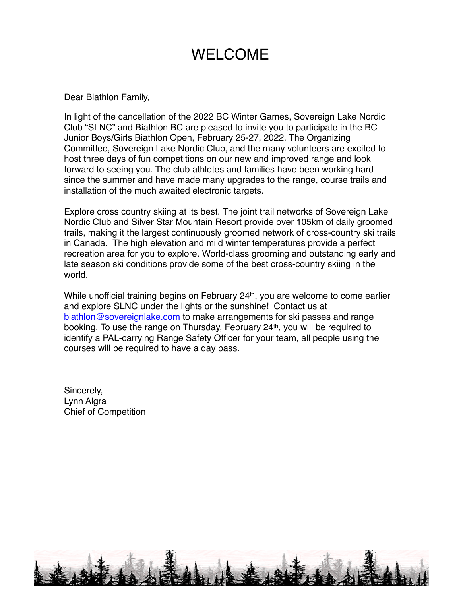# WELCOME

Dear Biathlon Family,

In light of the cancellation of the 2022 BC Winter Games, Sovereign Lake Nordic Club "SLNC" and Biathlon BC are pleased to invite you to participate in the BC Junior Boys/Girls Biathlon Open, February 25-27, 2022. The Organizing Committee, Sovereign Lake Nordic Club, and the many volunteers are excited to host three days of fun competitions on our new and improved range and look forward to seeing you. The club athletes and families have been working hard since the summer and have made many upgrades to the range, course trails and installation of the much awaited electronic targets.

Explore cross country skiing at its best. The joint trail networks of Sovereign Lake Nordic Club and Silver Star Mountain Resort provide over 105km of daily groomed trails, making it the largest continuously groomed network of cross-country ski trails in Canada. The high elevation and mild winter temperatures provide a perfect recreation area for you to explore. World-class grooming and outstanding early and late season ski conditions provide some of the best cross-country skiing in the world.

While unofficial training begins on February 24<sup>th</sup>, you are welcome to come earlier and explore SLNC under the lights or the sunshine! Contact us at [biathlon@sovereignlake.com](mailto:biathlon@sovereignlake.com) to make arrangements for ski passes and range booking. To use the range on Thursday, February 24th, you will be required to identify a PAL-carrying Range Safety Officer for your team, all people using the courses will be required to have a day pass.

Sincerely, Lynn Algra Chief of Competition

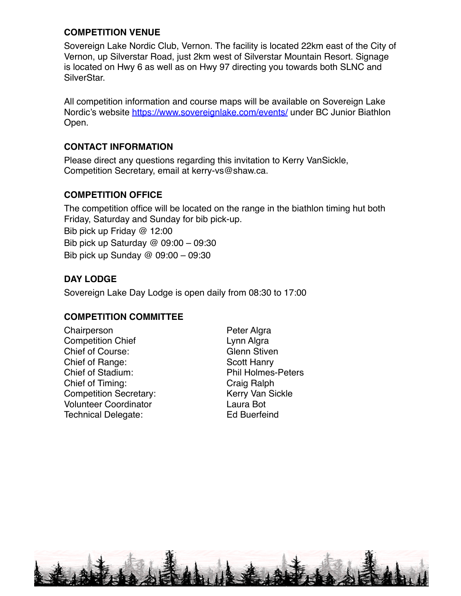#### **COMPETITION VENUE**

Sovereign Lake Nordic Club, Vernon. The facility is located 22km east of the City of Vernon, up Silverstar Road, just 2km west of Silverstar Mountain Resort. Signage is located on Hwy 6 as well as on Hwy 97 directing you towards both SLNC and SilverStar.

All competition information and course maps will be available on Sovereign Lake Nordic's website <https://www.sovereignlake.com/events/> under BC Junior Biathlon Open.

#### **CONTACT INFORMATION**

Please direct any questions regarding this invitation to Kerry VanSickle, Competition Secretary, email at kerry-vs@shaw.ca.

#### **COMPETITION OFFICE**

The competition office will be located on the range in the biathlon timing hut both Friday, Saturday and Sunday for bib pick-up. Bib pick up Friday @ 12:00 Bib pick up Saturday @ 09:00 – 09:30 Bib pick up Sunday @ 09:00 – 09:30

#### **DAY LODGE**

Sovereign Lake Day Lodge is open daily from 08:30 to 17:00

#### **COMPETITION COMMITTEE**

Chairperson **Peter Algra** Competition Chief **Lynn Algra** Chief of Course: Glenn Stiven Chief of Range: Scott Hanry Chief of Stadium: Phil Holmes-Peters Chief of Timing: Craig Ralph Competition Secretary: Kerry Van Sickle Volunteer Coordinator Laura Bot Technical Delegate: Ed Buerfeind

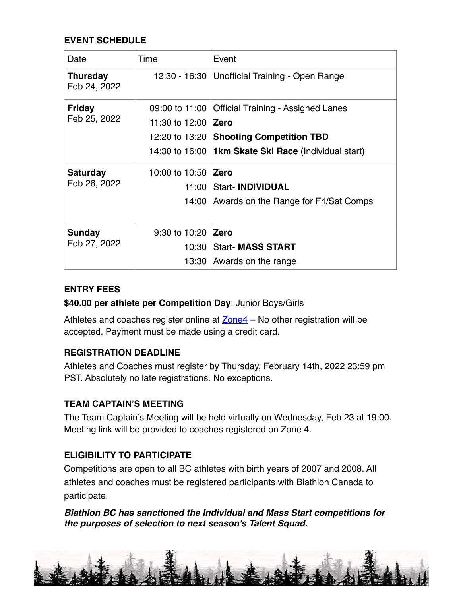# **EVENT SCHEDULE**

| Date                            | Time                       | Event                                                  |  |  |
|---------------------------------|----------------------------|--------------------------------------------------------|--|--|
| <b>Thursday</b><br>Feb 24, 2022 |                            | 12:30 - 16:30   Unofficial Training - Open Range       |  |  |
| Friday                          | 09:00 to 11:00             | <b>Official Training - Assigned Lanes</b>              |  |  |
| Feb 25, 2022                    | 11:30 to 12:00 <b>Zero</b> |                                                        |  |  |
|                                 |                            | 12:20 to 13:20 Shooting Competition TBD                |  |  |
|                                 |                            | 14:30 to 16:00   1km Skate Ski Race (Individual start) |  |  |
| <b>Saturday</b><br>Feb 26, 2022 | 10:00 to 10:50             | Zero                                                   |  |  |
|                                 |                            | 11:00   Start- INDIVIDUAL                              |  |  |
|                                 |                            | 14:00 Awards on the Range for Fri/Sat Comps            |  |  |
|                                 |                            |                                                        |  |  |
| Sunday<br>Feb 27, 2022          | 9:30 to 10:20              | <b>Zero</b>                                            |  |  |
|                                 | 10:30                      | <b>Start- MASS START</b>                               |  |  |
|                                 |                            | 13:30 Awards on the range                              |  |  |

#### **ENTRY FEES**

#### **\$40.00 per athlete per Competition Day**: Junior Boys/Girls

Athletes and coaches register online at  $Zone4$  – No other registration will be accepted. Payment must be made using a credit card.

#### **REGISTRATION DEADLINE**

Athletes and Coaches must register by Thursday, February 14th, 2022 23:59 pm PST. Absolutely no late registrations. No exceptions.

#### **TEAM CAPTAIN'S MEETING**

The Team Captain's Meeting will be held virtually on Wednesday, Feb 23 at 19:00. Meeting link will be provided to coaches registered on Zone 4.

#### **ELIGIBILITY TO PARTICIPATE**

Competitions are open to all BC athletes with birth years of 2007 and 2008. All athletes and coaches must be registered participants with Biathlon Canada to participate.

#### *Biathlon BC has sanctioned the Individual and Mass Start competitions for the purposes of selection to next season's Talent Squad.*

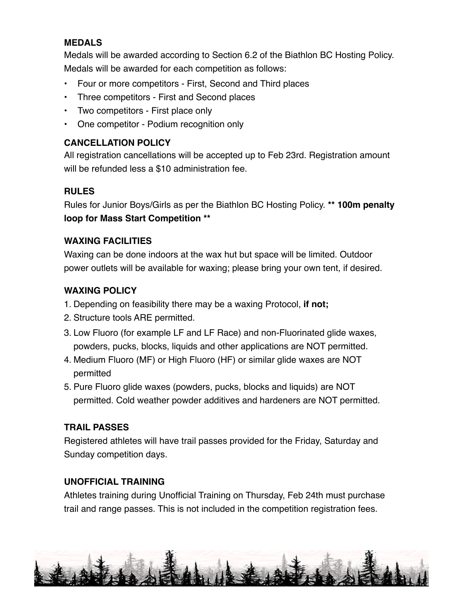#### **MEDALS**

Medals will be awarded according to Section 6.2 of the Biathlon BC Hosting Policy. Medals will be awarded for each competition as follows:

- Four or more competitors First, Second and Third places
- Three competitors First and Second places
- Two competitors First place only
- One competitor Podium recognition only

# **CANCELLATION POLICY**

All registration cancellations will be accepted up to Feb 23rd. Registration amount will be refunded less a \$10 administration fee.

# **RULES**

Rules for Junior Boys/Girls as per the Biathlon BC Hosting Policy. **\*\* 100m penalty loop for Mass Start Competition \*\*** 

# **WAXING FACILITIES**

Waxing can be done indoors at the wax hut but space will be limited. Outdoor power outlets will be available for waxing; please bring your own tent, if desired.

# **WAXING POLICY**

- 1. Depending on feasibility there may be a waxing Protocol, **if not;**
- 2. Structure tools ARE permitted.
- 3. Low Fluoro (for example LF and LF Race) and non-Fluorinated glide waxes, powders, pucks, blocks, liquids and other applications are NOT permitted.
- 4. Medium Fluoro (MF) or High Fluoro (HF) or similar glide waxes are NOT permitted
- 5. Pure Fluoro glide waxes (powders, pucks, blocks and liquids) are NOT permitted. Cold weather powder additives and hardeners are NOT permitted.

# **TRAIL PASSES**

Registered athletes will have trail passes provided for the Friday, Saturday and Sunday competition days.

#### **UNOFFICIAL TRAINING**

Athletes training during Unofficial Training on Thursday, Feb 24th must purchase trail and range passes. This is not included in the competition registration fees.

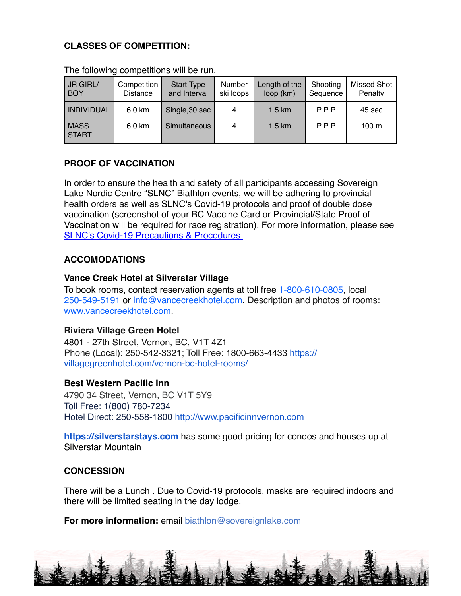#### **CLASSES OF COMPETITION:**

| JR GIRL/<br><b>BOY</b>      | Competition<br>Distance | <b>Start Type</b><br>and Interval | Number<br>ski loops | Length of the<br>loop (km) | Shooting<br>Sequence | <b>Missed Shot</b><br>Penalty |
|-----------------------------|-------------------------|-----------------------------------|---------------------|----------------------------|----------------------|-------------------------------|
| <b>INDIVIDUAL</b>           | 6.0 km                  | Single, 30 sec                    | 4                   | $1.5 \text{ km}$           | PPP                  | 45 sec                        |
| <b>MASS</b><br><b>START</b> | 6.0 km                  | Simultaneous                      | 4                   | 1.5 km                     | PPP                  | 100 <sub>m</sub>              |

The following competitions will be run.

# **PROOF OF VACCINATION**

In order to ensure the health and safety of all participants accessing Sovereign Lake Nordic Centre "SLNC" Biathlon events, we will be adhering to provincial health orders as well as SLNC's Covid-19 protocols and proof of double dose vaccination (screenshot of your BC Vaccine Card or Provincial/State Proof of Vaccination will be required for race registration). For more information, please see [SLNC's Covid-19 Precautions & Procedures](https://www.sovereignlake.com/covid-19-protocols-and-communications-page/) 

#### **ACCOMODATIONS**

#### **Vance Creek Hotel at Silverstar Village**

To book rooms, contact reservation agents at toll free 1-800-610-0805, local 250-549-5191 or info@vancecreekhotel.com. Description and photos of rooms: www.vancecreekhotel.com.

#### **Riviera Village Green Hotel**

4801 - 27th Street, Vernon, BC, V1T 4Z1 Phone (Local): 250-542-3321; Toll Free: 1800-663-4433 https:// villagegreenhotel.com/vernon-bc-hotel-rooms/

#### **Best Western Pacific Inn**

4790 34 Street, Vernon, BC V1T 5Y9 Toll Free: 1(800) 780-7234 Hotel Direct: 250-558-1800 http://www.pacificinnvernon.com

**https://silverstarstays.com** has some good pricing for condos and houses up at Silverstar Mountain

#### **CONCESSION**

There will be a Lunch . Due to Covid-19 protocols, masks are required indoors and there will be limited seating in the day lodge.

**For more information:** email biathlon@sovereignlake.com